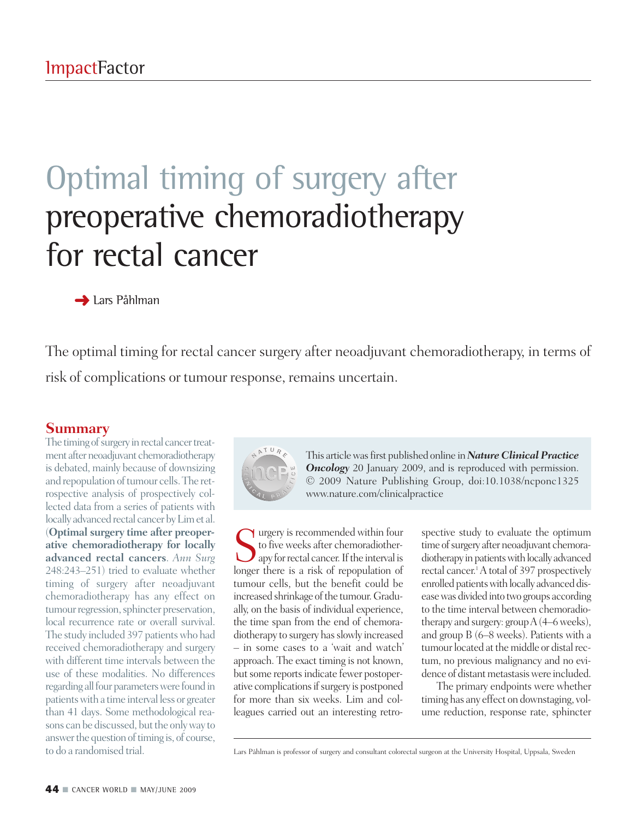## Optimal timing of surgery after preoperative chemoradiotherapy for rectal cancer

**➜** Lars Påhlman

The optimal timing for rectal cancer surgery after neoadjuvant chemoradiotherapy, in terms of risk of complications or tumour response, remains uncertain.

## **Summary**

The timing of surgery in rectal cancer treatment after neoadjuvant chemoradiotherapy is debated, mainly because of downsizing and repopulation of tumour cells. The retrospective analysis of prospectively collected data from a series of patients with locally advanced rectal cancer byLimet al. (**Optimal surgery time after preoperative chemoradiotherapy for locally advanced rectal cancers**. *Ann Surg* 248:243–251) tried to evaluate whether timing of surgery after neoadjuvant chemoradiotherapy has any effect on tumour regression, sphincter preservation, local recurrence rate or overall survival. The study included 397 patientswho had received chemoradiotherapy and surgery with different time intervals between the use of these modalities. No differences regarding all four parameters were found in patientswith a time interval less or greater than 41 days. Some methodological reasons can be discussed, but the only way to answer the question of timing is, of course, to do a randomised trial.



This articlewasfirst published online in*Nature Clinical Practice* **Oncology** 20 January 2009, and is reproduced with permission. © 2009 Nature Publishing Group, doi:10.1038/ncponc1325 www.nature.com/clinicalpractice

 $\bigcap$  urgery is recommended within four to five weeks after chemoradiother- $\bigcup$  apy for rectal cancer. If the interval is longer there is a risk of repopulation of tumour cells, but the benefit could be increased shrinkage of the tumour. Gradually, on the basis of individual experience, the time span from the end of chemoradiotherapy to surgery has slowly increased – in some cases to a 'wait and watch' approach. The exact timing is not known, but some reports indicate fewer postoperative complications if surgery is postponed for more than six weeks. Lim and colleagues carried out an interesting retro-

spective study to evaluate the optimum time of surgery after neoadjuvant chemoradiotherapy in patients with locally advanced rectal cancer. 1A total of 397 prospectively enrolled patients with locally advanced diseasewas divided into two groups according to the time interval between chemoradiotherapy and surgery: group  $A(4-6$  weeks), and group B (6–8 weeks). Patients with a tumour located at the middle or distal rectum, no previous malignancy and no evidence of distant metastasis were included.

The primary endpoints were whether timing has any effect on downstaging, volume reduction, response rate, sphincter

Lars Påhlman is professor of surgery and consultant colorectal surgeon at the University Hospital, Uppsala, Sweden